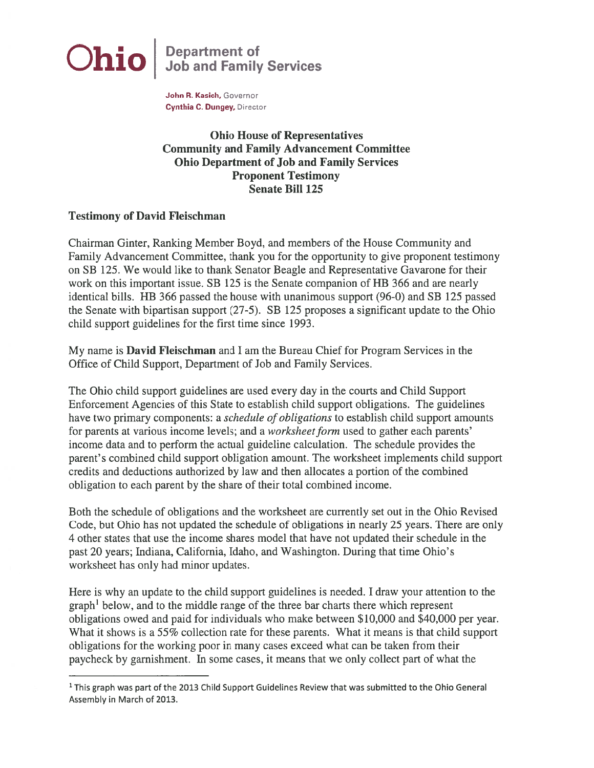

John R. Kasich, Governor Cynthia C. Dungey, Director

Ohio House of Representatives Community and Family Advancement Committee Ohio Department of Job and Family Services Proponent Testimony Senate Bill 125

## Testimony of David Fleischman

Chairman Ginter, Ranking Member Boyd, and members of the House Community and Family Advancement Committee, thank you for the opportunity to give proponen<sup>t</sup> testimony on SB 125. We would like to thank Senator Beagle and Representative Gavarone for their work on this important issue. SB 125 is the Senate companion of HB 366 and are nearly identical bills. HB 366 passed the house with unanimous suppor<sup>t</sup> (96-0) and SB 125 passed the Senate with bipartisan suppor<sup>t</sup> (27-5). SB 125 proposes <sup>a</sup> significant update to the Ohio child suppor<sup>t</sup> guidelines for the first time since 1993.

My name is David Fleischman and I am the Bureau Chief for Program Services in the Office of Child Support, Department of Job and Family Services.

The Ohio child suppor<sup>t</sup> guidelines are used every day in the courts and Child Support Enforcement Agencies of this State to establish child suppor<sup>t</sup> obligations. The guidelines have two primary components: a *schedule of obligations* to establish child support amounts for parents at various income levels; and a *worksheet form* used to gather each parents' income data and to perform the actual guideline calculation. The schedule provides the parent's combined child suppor<sup>t</sup> obligation amount. The worksheet implements child suppor<sup>t</sup> credits and deductions authorized by law and then allocates <sup>a</sup> portion of the combined obligation to each paren<sup>t</sup> by the share of their total combined income.

Both the schedule of obligations and the worksheet are currently set out in the Ohio Revised Code, but Ohio has not updated the schedule of obligations in nearly 25 years. There are only 4 other states that use the income shares model that have not updated their schedule in the pas<sup>t</sup> 20 years; Indiana, California, Idaho, and Washington. During that time Ohio's worksheet has only had minor updates.

Here is why an update to the child suppor<sup>t</sup> guidelines is needed. I draw your attention to the graph' below, and to the middle range of the three bar charts there which represen<sup>t</sup> obligations owed and paid for individuals who make between \$10,000 and \$40,000 per year. What it shows is a 55% collection rate for these parents. What it means is that child support obligations for the working poor in many cases exceed what can be taken from their paycheck by garnishment. In some cases, it means that we only collect par<sup>t</sup> of what the

<sup>&</sup>lt;sup>1</sup> This graph was part of the 2013 Child Support Guidelines Review that was submitted to the Ohio General Assembly in March of 2013.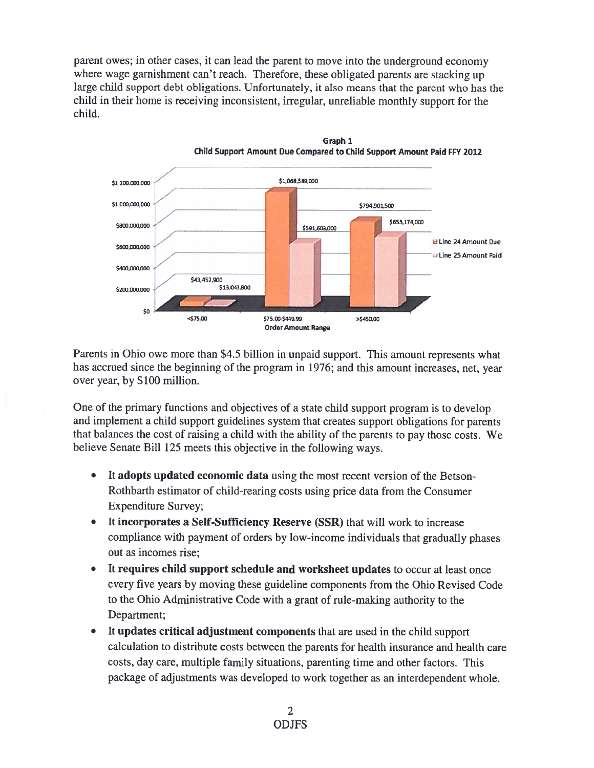paren<sup>t</sup> owes; in other cases, it can lead the paren<sup>t</sup> to move into the underground economy where wage garnishment can't reach. Therefore, these obligated parents are stacking up large child suppor<sup>t</sup> debt obligations. Unfortunately, it also means that the paren<sup>t</sup> who has the child in their home is receiving inconsistent, irregular, unreliable monthly suppor<sup>t</sup> for the child.





Parents in Ohio owe more than \$4.5 billion in unpaid support. This amount represents what has accrued since the beginning of the program in 1976; and this amount increases, net, year over year, by \$100 million.

One of the primary functions and objectives of <sup>a</sup> state child suppor<sup>t</sup> program is to develop and implement <sup>a</sup> child suppor<sup>t</sup> guidelines system that creates suppor<sup>t</sup> obligations for parents that balances the cost of raising a child with the ability of the parents to pay those costs. We believe Senate Bill 125 meets this objective in the following ways.

- • It adopts updated economic data using the most recent version of the Betson Rothbarth estimator of child-rearing costs using price data from the Consumer Expenditure Survey;
- • It incorporates <sup>a</sup> Self-Sufficiency Reserve (SSR) that will work to increase compliance with paymen<sup>t</sup> of orders by low-income individuals that gradually <sup>p</sup>hases out as incomes rise;
- • It requires child suppor<sup>t</sup> schedule and worksheet updates to occur at least once every five years by moving these guideline components from the Ohio Revised Code to the Ohio Administrative Code with <sup>a</sup> gran<sup>t</sup> of rule-making authority to the Department;
- It updates critical adjustment components that are used in the child support calculation to distribute costs between the parents for health insurance and health care costs, day care, multiple family situations, parenting time and other factors. This package of adjustments was developed to work together as an interdependent whole.